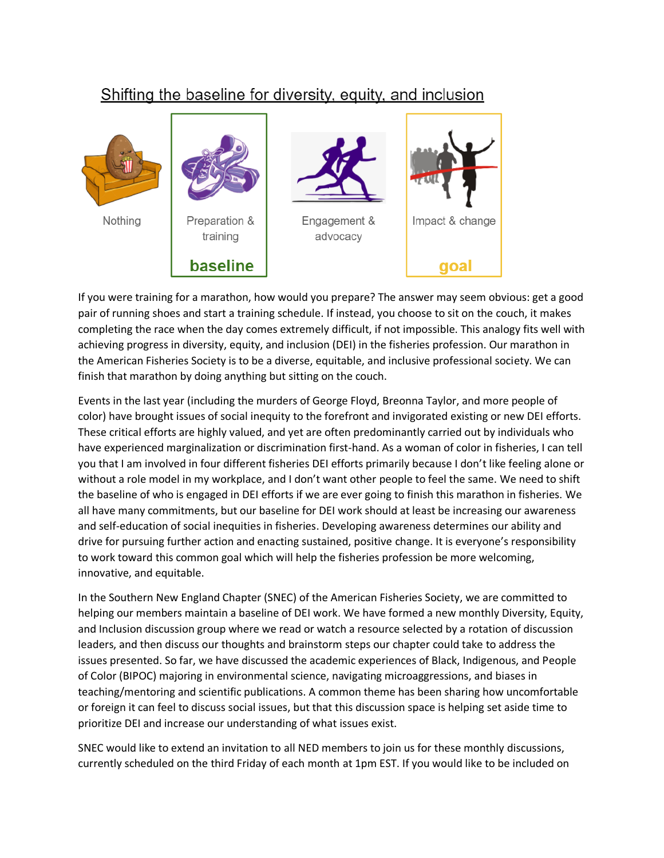## Shifting the baseline for diversity, equity, and inclusion



If you were training for a marathon, how would you prepare? The answer may seem obvious: get a good pair of running shoes and start a training schedule. If instead, you choose to sit on the couch, it makes completing the race when the day comes extremely difficult, if not impossible. This analogy fits well with achieving progress in diversity, equity, and inclusion (DEI) in the fisheries profession. Our marathon in the American Fisheries Society is to be a diverse, equitable, and inclusive professional society. We can finish that marathon by doing anything but sitting on the couch.

Events in the last year (including the murders of George Floyd, Breonna Taylor, and more people of color) have brought issues of social inequity to the forefront and invigorated existing or new DEI efforts. These critical efforts are highly valued, and yet are often predominantly carried out by individuals who have experienced marginalization or discrimination first-hand. As a woman of color in fisheries, I can tell you that I am involved in four different fisheries DEI efforts primarily because I don't like feeling alone or without a role model in my workplace, and I don't want other people to feel the same. We need to shift the baseline of who is engaged in DEI efforts if we are ever going to finish this marathon in fisheries. We all have many commitments, but our baseline for DEI work should at least be increasing our awareness and self-education of social inequities in fisheries. Developing awareness determines our ability and drive for pursuing further action and enacting sustained, positive change. It is everyone's responsibility to work toward this common goal which will help the fisheries profession be more welcoming, innovative, and equitable.

In the Southern New England Chapter (SNEC) of the American Fisheries Society, we are committed to helping our members maintain a baseline of DEI work. We have formed a new monthly Diversity, Equity, and Inclusion discussion group where we read or watch a resource selected by a rotation of discussion leaders, and then discuss our thoughts and brainstorm steps our chapter could take to address the issues presented. So far, we have discussed the academic experiences of Black, Indigenous, and People of Color (BIPOC) majoring in environmental science, navigating microaggressions, and biases in teaching/mentoring and scientific publications. A common theme has been sharing how uncomfortable or foreign it can feel to discuss social issues, but that this discussion space is helping set aside time to prioritize DEI and increase our understanding of what issues exist.

SNEC would like to extend an invitation to all NED members to join us for these monthly discussions, currently scheduled on the third Friday of each month at 1pm EST. If you would like to be included on